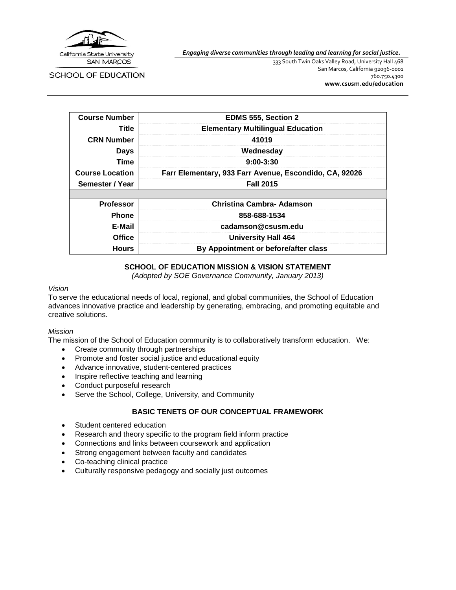

*Engaging diverse communities through leading and learning for social justice.*

SCHOOL OF EDUCATION

333 South Twin Oaks Valley Road, University Hall 468 San Marcos, California 92096-0001 760.750.4300 **[www.csusm.edu/education](http://www.csusm.edu/education)**

| <b>Course Number</b>   | <b>EDMS 555, Section 2</b>                             |
|------------------------|--------------------------------------------------------|
| Title                  | <b>Elementary Multilingual Education</b>               |
| <b>CRN Number</b>      | 41019                                                  |
| <b>Days</b>            | Wednesday                                              |
| Time                   | $9:00 - 3:30$                                          |
| <b>Course Location</b> | Farr Elementary, 933 Farr Avenue, Escondido, CA, 92026 |
| Semester / Year        | <b>Fall 2015</b>                                       |
|                        |                                                        |
| <b>Professor</b>       | <b>Christina Cambra- Adamson</b>                       |
| <b>Phone</b>           | 858-688-1534                                           |
| E-Mail                 | cadamson@csusm.edu                                     |
| <b>Office</b>          | <b>University Hall 464</b>                             |
| <b>Hours</b>           | By Appointment or before/after class                   |

#### **SCHOOL OF EDUCATION MISSION & VISION STATEMENT**

*(Adopted by SOE Governance Community, January 2013)*

#### *Vision*

To serve the educational needs of local, regional, and global communities, the School of Education advances innovative practice and leadership by generating, embracing, and promoting equitable and creative solutions.

#### *Mission*

The mission of the School of Education community is to collaboratively transform education. We:

- Create community through partnerships
- Promote and foster social justice and educational equity
- Advance innovative, student-centered practices
- Inspire reflective teaching and learning
- Conduct purposeful research
- Serve the School, College, University, and Community

#### **BASIC TENETS OF OUR CONCEPTUAL FRAMEWORK**

- Student centered education
- Research and theory specific to the program field inform practice
- Connections and links between coursework and application
- Strong engagement between faculty and candidates
- Co-teaching clinical practice
- Culturally responsive pedagogy and socially just outcomes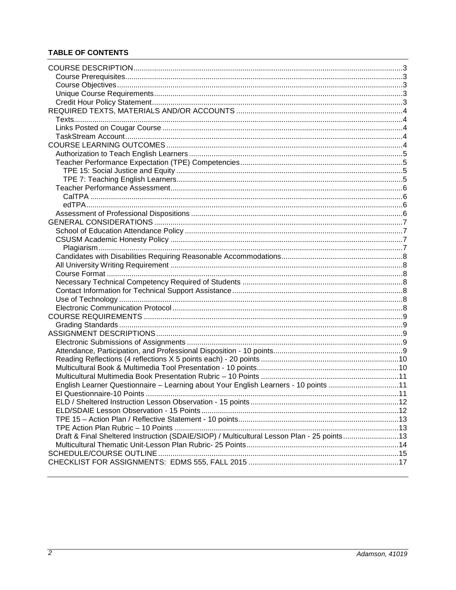# **TABLE OF CONTENTS**

| English Learner Questionnaire - Learning about Your English Learners - 10 points 11        |  |
|--------------------------------------------------------------------------------------------|--|
| El Questionnaire-10 Points                                                                 |  |
|                                                                                            |  |
|                                                                                            |  |
|                                                                                            |  |
|                                                                                            |  |
| Draft & Final Sheltered Instruction (SDAIE/SIOP) / Multicultural Lesson Plan - 25 points13 |  |
|                                                                                            |  |
|                                                                                            |  |
|                                                                                            |  |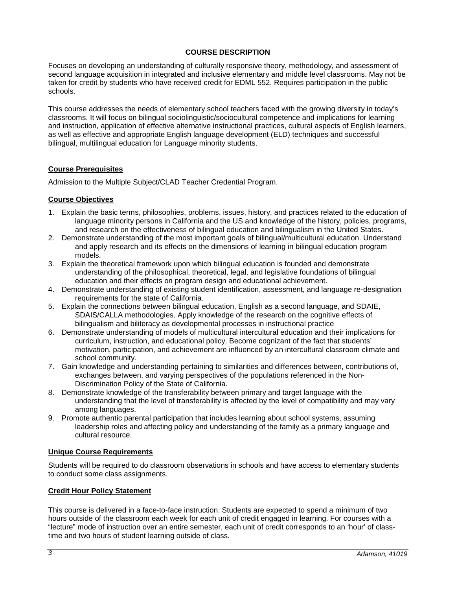#### **COURSE DESCRIPTION**

<span id="page-2-0"></span>Focuses on developing an understanding of culturally responsive theory, methodology, and assessment of second language acquisition in integrated and inclusive elementary and middle level classrooms. May not be taken for credit by students who have received credit for EDML 552. Requires participation in the public schools.

This course addresses the needs of elementary school teachers faced with the growing diversity in today's classrooms. It will focus on bilingual sociolinguistic/sociocultural competence and implications for learning and instruction, application of effective alternative instructional practices, cultural aspects of English learners, as well as effective and appropriate English language development (ELD) techniques and successful bilingual, multilingual education for Language minority students.

#### <span id="page-2-1"></span>**Course Prerequisites**

Admission to the Multiple Subject/CLAD Teacher Credential Program.

#### <span id="page-2-2"></span>**Course Objectives**

- 1. Explain the basic terms, philosophies, problems, issues, history, and practices related to the education of language minority persons in California and the US and knowledge of the history, policies, programs, and research on the effectiveness of bilingual education and bilingualism in the United States.
- 2. Demonstrate understanding of the most important goals of bilingual/multicultural education. Understand and apply research and its effects on the dimensions of learning in bilingual education program models.
- 3. Explain the theoretical framework upon which bilingual education is founded and demonstrate understanding of the philosophical, theoretical, legal, and legislative foundations of bilingual education and their effects on program design and educational achievement.
- 4. Demonstrate understanding of existing student identification, assessment, and language re-designation requirements for the state of California.
- 5. Explain the connections between bilingual education, English as a second language, and SDAIE, SDAIS/CALLA methodologies. Apply knowledge of the research on the cognitive effects of bilingualism and biliteracy as developmental processes in instructional practice
- 6. Demonstrate understanding of models of multicultural intercultural education and their implications for curriculum, instruction, and educational policy. Become cognizant of the fact that students' motivation, participation, and achievement are influenced by an intercultural classroom climate and school community.
- 7. Gain knowledge and understanding pertaining to similarities and differences between, contributions of, exchanges between, and varying perspectives of the populations referenced in the Non-Discrimination Policy of the State of California.
- 8. Demonstrate knowledge of the transferability between primary and target language with the understanding that the level of transferability is affected by the level of compatibility and may vary among languages.
- 9. Promote authentic parental participation that includes learning about school systems, assuming leadership roles and affecting policy and understanding of the family as a primary language and cultural resource.

#### <span id="page-2-3"></span>**Unique Course Requirements**

Students will be required to do classroom observations in schools and have access to elementary students to conduct some class assignments.

#### <span id="page-2-4"></span>**Credit Hour Policy Statement**

This course is delivered in a face-to-face instruction. Students are expected to spend a minimum of two hours outside of the classroom each week for each unit of credit engaged in learning. For courses with a "lecture" mode of instruction over an entire semester, each unit of credit corresponds to an 'hour' of classtime and two hours of student learning outside of class.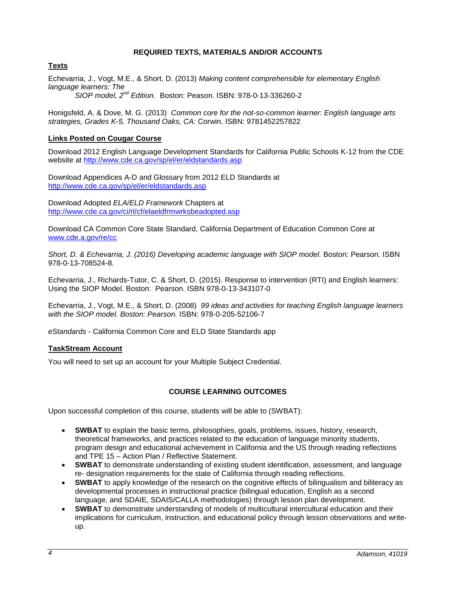#### **REQUIRED TEXTS, MATERIALS AND/OR ACCOUNTS**

## <span id="page-3-1"></span><span id="page-3-0"></span>**Texts**

Echevarria, J., Vogt, M.E., & Short, D. (2013) *Making content comprehensible for elementary English language learners: The SIOP model, 2nd Edition.* Boston: Peason. ISBN: 978-0-13-336260-2

Honigsfeld, A. & Dove, M. G. (2013) *Common core for the not-so-common learner: English language arts strategies, Grades K-5. Thousand Oaks, CA:* Corwin. ISBN: 9781452257822

# <span id="page-3-2"></span>**Links Posted on Cougar Course**

Download 2012 English Language Development Standards for California Public Schools K-12 from the CDE website at<http://www.cde.ca.gov/sp/el/er/eldstandards.asp>

Download Appendices A-D and Glossary from 2012 ELD Standards at <http://www.cde.ca.gov/sp/el/er/eldstandards.asp>

Download Adopted *ELA/ELD Framework* Chapters at <http://www.cde.ca.gov/ci/rl/cf/elaeldfrmwrksbeadopted.asp>

Download CA Common Core State Standard, California Department of Education Common Core at [www.cde.a.gov/re/cc](http://www.cde.a.gov/re/cc)

Short, D. & Echevarria, J. (2016) Developing academic language with SIOP model. Boston: Pearson. ISBN 978-0-13-708524-8.

Echevarria, J., Richards-Tutor, C. & Short, D. (2015). Response to intervention (RTI) and English learners: Using the SIOP Model. Boston: Pearson. ISBN 978-0-13-343107-0

Echevarria, J., Vogt, M.E., & Short, D. (2008) *99 ideas and activities for teaching English language learners with the SIOP model. Boston: Pearson.* ISBN: 978-0-205-52106-7

*eStandards* - California Common Core and ELD State Standards app

#### <span id="page-3-3"></span>**TaskStream Account**

You will need to set up an account for your Multiple Subject Credential.

#### **COURSE LEARNING OUTCOMES**

<span id="page-3-4"></span>Upon successful completion of this course, students will be able to (SWBAT):

- **SWBAT** to explain the basic terms, philosophies, goals, problems, issues, history, research, theoretical frameworks, and practices related to the education of language minority students, program design and educational achievement in California and the US through reading reflections and TPE 15 – Action Plan / Reflective Statement.
- **SWBAT** to demonstrate understanding of existing student identification, assessment, and language re- designation requirements for the state of California through reading reflections.
- **SWBAT** to apply knowledge of the research on the cognitive effects of bilingualism and biliteracy as developmental processes in instructional practice (bilingual education, English as a second language, and SDAIE, SDAIS/CALLA methodologies) through lesson plan development.
- **SWBAT** to demonstrate understanding of models of multicultural intercultural education and their implications for curriculum, instruction, and educational policy through lesson observations and writeup.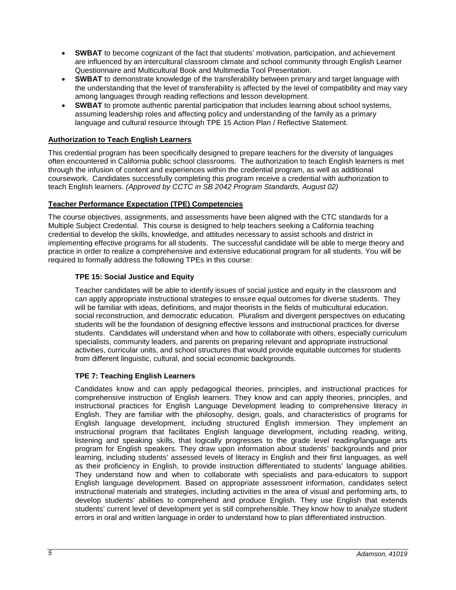- **SWBAT** to become cognizant of the fact that students' motivation, participation, and achievement are influenced by an intercultural classroom climate and school community through English Learner Questionnaire and Multicultural Book and Multimedia Tool Presentation.
- **SWBAT** to demonstrate knowledge of the transferability between primary and target language with the understanding that the level of transferability is affected by the level of compatibility and may vary among languages through reading reflections and lesson development.
- **SWBAT** to promote authentic parental participation that includes learning about school systems, assuming leadership roles and affecting policy and understanding of the family as a primary language and cultural resource through TPE 15 Action Plan / Reflective Statement.

# <span id="page-4-0"></span>**Authorization to Teach English Learners**

This credential program has been specifically designed to prepare teachers for the diversity of languages often encountered in California public school classrooms. The authorization to teach English learners is met through the infusion of content and experiences within the credential program, as well as additional coursework. Candidates successfully completing this program receive a credential with authorization to teach English learners. *(Approved by CCTC in SB 2042 Program Standards, August 02)*

#### <span id="page-4-1"></span>**Teacher Performance Expectation (TPE) Competencies**

The course objectives, assignments, and assessments have been aligned with the CTC standards for a Multiple Subject Credential. This course is designed to help teachers seeking a California teaching credential to develop the skills, knowledge, and attitudes necessary to assist schools and district in implementing effective programs for all students. The successful candidate will be able to merge theory and practice in order to realize a comprehensive and extensive educational program for all students. You will be required to formally address the following TPEs in this course:

# <span id="page-4-2"></span>**TPE 15: Social Justice and Equity**

Teacher candidates will be able to identify issues of social justice and equity in the classroom and can apply appropriate instructional strategies to ensure equal outcomes for diverse students. They will be familiar with ideas, definitions, and major theorists in the fields of multicultural education, social reconstruction, and democratic education. Pluralism and divergent perspectives on educating students will be the foundation of designing effective lessons and instructional practices for diverse students. Candidates will understand when and how to collaborate with others, especially curriculum specialists, community leaders, and parents on preparing relevant and appropriate instructional activities, curricular units, and school structures that would provide equitable outcomes for students from different linguistic, cultural, and social economic backgrounds.

#### <span id="page-4-3"></span>**TPE 7: Teaching English Learners**

Candidates know and can apply pedagogical theories, principles, and instructional practices for comprehensive instruction of English learners. They know and can apply theories, principles, and instructional practices for English Language Development leading to comprehensive literacy in English. They are familiar with the philosophy, design, goals, and characteristics of programs for English language development, including structured English immersion. They implement an instructional program that facilitates English language development, including reading, writing, listening and speaking skills, that logically progresses to the grade level reading/language arts program for English speakers. They draw upon information about students' backgrounds and prior learning, including students' assessed levels of literacy in English and their first languages, as well as their proficiency in English, to provide instruction differentiated to students' language abilities. They understand how and when to collaborate with specialists and para-educators to support English language development. Based on appropriate assessment information, candidates select instructional materials and strategies, including activities in the area of visual and performing arts, to develop students' abilities to comprehend and produce English. They use English that extends students' current level of development yet is still comprehensible. They know how to analyze student errors in oral and written language in order to understand how to plan differentiated instruction.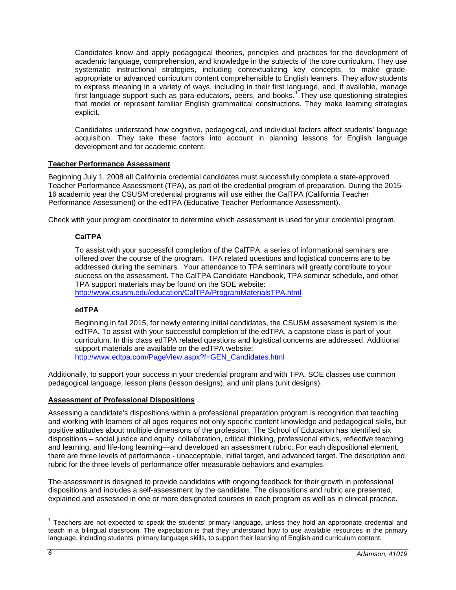Candidates know and apply pedagogical theories, principles and practices for the development of academic language, comprehension, and knowledge in the subjects of the core curriculum. They use systematic instructional strategies, including contextualizing key concepts, to make gradeappropriate or advanced curriculum content comprehensible to English learners. They allow students to express meaning in a variety of ways, including in their first language, and, if available, manage first language support such as para-educators, peers, and books.<sup>[1](#page-5-4)</sup> They use questioning strategies that model or represent familiar English grammatical constructions. They make learning strategies explicit.

Candidates understand how cognitive, pedagogical, and individual factors affect students' language acquisition. They take these factors into account in planning lessons for English language development and for academic content.

## <span id="page-5-0"></span>**Teacher Performance Assessment**

Beginning July 1, 2008 all California credential candidates must successfully complete a state-approved Teacher Performance Assessment (TPA), as part of the credential program of preparation. During the 2015- 16 academic year the CSUSM credential programs will use either the CalTPA (California Teacher Performance Assessment) or the edTPA (Educative Teacher Performance Assessment).

<span id="page-5-1"></span>Check with your program coordinator to determine which assessment is used for your credential program.

#### **CalTPA**

To assist with your successful completion of the CalTPA, a series of informational seminars are offered over the course of the program. TPA related questions and logistical concerns are to be addressed during the seminars. Your attendance to TPA seminars will greatly contribute to your success on the assessment. The CalTPA Candidate Handbook, TPA seminar schedule, and other TPA support materials may be found on the SOE website:

<http://www.csusm.edu/education/CalTPA/ProgramMaterialsTPA.html>

#### <span id="page-5-2"></span>**edTPA**

Beginning in fall 2015, for newly entering initial candidates, the CSUSM assessment system is the edTPA. To assist with your successful completion of the edTPA, a capstone class is part of your curriculum. In this class edTPA related questions and logistical concerns are addressed. Additional support materials are available on the edTPA website: [http://www.edtpa.com/PageView.aspx?f=GEN\\_Candidates.html](http://www.edtpa.com/PageView.aspx?f=GEN_Candidates.html)

Additionally, to support your success in your credential program and with TPA, SOE classes use common pedagogical language, lesson plans (lesson designs), and unit plans (unit designs).

#### <span id="page-5-3"></span>**Assessment of Professional Dispositions**

Assessing a candidate's dispositions within a professional preparation program is recognition that teaching and working with learners of all ages requires not only specific content knowledge and pedagogical skills, but positive attitudes about multiple dimensions of the profession. The School of Education has identified six dispositions – social justice and equity, collaboration, critical thinking, professional ethics, reflective teaching and learning, and life-long learning—and developed an assessment rubric. For each dispositional element, there are three levels of performance - unacceptable, initial target, and advanced target. The description and rubric for the three levels of performance offer measurable behaviors and examples.

The assessment is designed to provide candidates with ongoing feedback for their growth in professional dispositions and includes a self-assessment by the candidate. The dispositions and rubric are presented, explained and assessed in one or more designated courses in each program as well as in clinical practice.

<span id="page-5-4"></span> $<sup>1</sup>$  Teachers are not expected to speak the students' primary language, unless they hold an appropriate credential and</sup> teach in a bilingual classroom. The expectation is that they understand how to use available resources in the primary language, including students' primary language skills, to support their learning of English and curriculum content.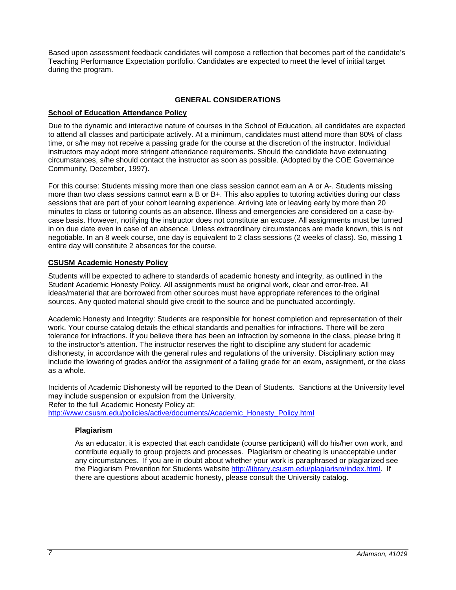Based upon assessment feedback candidates will compose a reflection that becomes part of the candidate's Teaching Performance Expectation portfolio. Candidates are expected to meet the level of initial target during the program.

# **GENERAL CONSIDERATIONS**

# <span id="page-6-1"></span><span id="page-6-0"></span>**School of Education Attendance Policy**

Due to the dynamic and interactive nature of courses in the School of Education, all candidates are expected to attend all classes and participate actively. At a minimum, candidates must attend more than 80% of class time, or s/he may not receive a passing grade for the course at the discretion of the instructor. Individual instructors may adopt more stringent attendance requirements. Should the candidate have extenuating circumstances, s/he should contact the instructor as soon as possible. (Adopted by the COE Governance Community, December, 1997).

For this course: Students missing more than one class session cannot earn an A or A-. Students missing more than two class sessions cannot earn a B or B+. This also applies to tutoring activities during our class sessions that are part of your cohort learning experience. Arriving late or leaving early by more than 20 minutes to class or tutoring counts as an absence. Illness and emergencies are considered on a case-bycase basis. However, notifying the instructor does not constitute an excuse. All assignments must be turned in on due date even in case of an absence. Unless extraordinary circumstances are made known, this is not negotiable. In an 8 week course, one day is equivalent to 2 class sessions (2 weeks of class). So, missing 1 entire day will constitute 2 absences for the course.

# <span id="page-6-2"></span>**CSUSM Academic Honesty Policy**

Students will be expected to adhere to standards of academic honesty and integrity, as outlined in the Student Academic Honesty Policy. All assignments must be original work, clear and error-free. All ideas/material that are borrowed from other sources must have appropriate references to the original sources. Any quoted material should give credit to the source and be punctuated accordingly.

Academic Honesty and Integrity: Students are responsible for honest completion and representation of their work. Your course catalog details the ethical standards and penalties for infractions. There will be zero tolerance for infractions. If you believe there has been an infraction by someone in the class, please bring it to the instructor's attention. The instructor reserves the right to discipline any student for academic dishonesty, in accordance with the general rules and regulations of the university. Disciplinary action may include the lowering of grades and/or the assignment of a failing grade for an exam, assignment, or the class as a whole.

Incidents of Academic Dishonesty will be reported to the Dean of Students. Sanctions at the University level may include suspension or expulsion from the University.

Refer to the full Academic Honesty Policy at:

<span id="page-6-3"></span>[http://www.csusm.edu/policies/active/documents/Academic\\_Honesty\\_Policy.html](http://www.csusm.edu/policies/active/documents/Academic_Honesty_Policy.html)

#### **Plagiarism**

As an educator, it is expected that each candidate (course participant) will do his/her own work, and contribute equally to group projects and processes. Plagiarism or cheating is unacceptable under any circumstances. If you are in doubt about whether your work is paraphrased or plagiarized see the Plagiarism Prevention for Students website [http://library.csusm.edu/plagiarism/index.html.](http://library.csusm.edu/plagiarism/index.html) If there are questions about academic honesty, please consult the University catalog.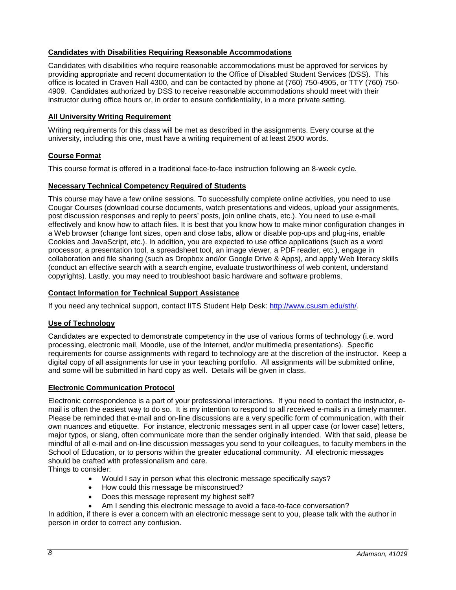# <span id="page-7-0"></span>**Candidates with Disabilities Requiring Reasonable Accommodations**

Candidates with disabilities who require reasonable accommodations must be approved for services by providing appropriate and recent documentation to the Office of Disabled Student Services (DSS). This office is located in Craven Hall 4300, and can be contacted by phone at (760) 750-4905, or TTY (760) 750- 4909. Candidates authorized by DSS to receive reasonable accommodations should meet with their instructor during office hours or, in order to ensure confidentiality, in a more private setting.

#### <span id="page-7-1"></span>**All University Writing Requirement**

Writing requirements for this class will be met as described in the assignments. Every course at the university, including this one, must have a writing requirement of at least 2500 words.

#### <span id="page-7-2"></span>**Course Format**

This course format is offered in a traditional face-to-face instruction following an 8-week cycle.

#### <span id="page-7-3"></span>**Necessary Technical Competency Required of Students**

This course may have a few online sessions. To successfully complete online activities, you need to use Cougar Courses (download course documents, watch presentations and videos, upload your assignments, post discussion responses and reply to peers' posts, join online chats, etc.). You need to use e-mail effectively and know how to attach files. It is best that you know how to make minor configuration changes in a Web browser (change font sizes, open and close tabs, allow or disable pop-ups and plug-ins, enable Cookies and JavaScript, etc.). In addition, you are expected to use office applications (such as a word processor, a presentation tool, a spreadsheet tool, an image viewer, a PDF reader, etc.), engage in collaboration and file sharing (such as Dropbox and/or Google Drive & Apps), and apply Web literacy skills (conduct an effective search with a search engine, evaluate trustworthiness of web content, understand copyrights). Lastly, you may need to troubleshoot basic hardware and software problems.

#### <span id="page-7-4"></span>**Contact Information for Technical Support Assistance**

If you need any technical support, contact IITS Student Help Desk: [http://www.csusm.edu/sth/.](http://www.csusm.edu/sth/)

#### <span id="page-7-5"></span>**Use of Technology**

Candidates are expected to demonstrate competency in the use of various forms of technology (i.e. word processing, electronic mail, Moodle, use of the Internet, and/or multimedia presentations). Specific requirements for course assignments with regard to technology are at the discretion of the instructor. Keep a digital copy of all assignments for use in your teaching portfolio. All assignments will be submitted online, and some will be submitted in hard copy as well. Details will be given in class.

#### <span id="page-7-6"></span>**Electronic Communication Protocol**

Electronic correspondence is a part of your professional interactions. If you need to contact the instructor, email is often the easiest way to do so. It is my intention to respond to all received e-mails in a timely manner. Please be reminded that e-mail and on-line discussions are a very specific form of communication, with their own nuances and etiquette. For instance, electronic messages sent in all upper case (or lower case) letters, major typos, or slang, often communicate more than the sender originally intended. With that said, please be mindful of all e-mail and on-line discussion messages you send to your colleagues, to faculty members in the School of Education, or to persons within the greater educational community. All electronic messages should be crafted with professionalism and care.

Things to consider:

- Would I say in person what this electronic message specifically says?
- How could this message be misconstrued?
- Does this message represent my highest self?
- Am I sending this electronic message to avoid a face-to-face conversation?

In addition, if there is ever a concern with an electronic message sent to you, please talk with the author in person in order to correct any confusion.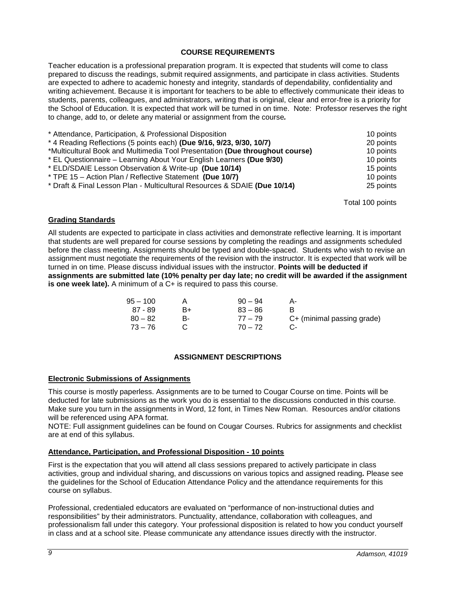#### **COURSE REQUIREMENTS**

<span id="page-8-0"></span>Teacher education is a professional preparation program. It is expected that students will come to class prepared to discuss the readings, submit required assignments, and participate in class activities. Students are expected to adhere to academic honesty and integrity, standards of dependability, confidentiality and writing achievement. Because it is important for teachers to be able to effectively communicate their ideas to students, parents, colleagues, and administrators, writing that is original, clear and error-free is a priority for the School of Education. It is expected that work will be turned in on time. Note: Professor reserves the right to change, add to, or delete any material or assignment from the course*.*

| * Attendance, Participation, & Professional Disposition                      | 10 points |
|------------------------------------------------------------------------------|-----------|
| * 4 Reading Reflections (5 points each) (Due 9/16, 9/23, 9/30, 10/7)         | 20 points |
| *Multicultural Book and Multimedia Tool Presentation (Due throughout course) | 10 points |
| * EL Questionnaire – Learning About Your English Learners (Due 9/30)         | 10 points |
| * ELD/SDAIE Lesson Observation & Write-up (Due 10/14)                        | 15 points |
| * TPE 15 - Action Plan / Reflective Statement (Due 10/7)                     | 10 points |
| * Draft & Final Lesson Plan - Multicultural Resources & SDAIE (Due 10/14)    | 25 points |
|                                                                              |           |

Total 100 points

#### <span id="page-8-1"></span>**Grading Standards**

All students are expected to participate in class activities and demonstrate reflective learning. It is important that students are well prepared for course sessions by completing the readings and assignments scheduled before the class meeting. Assignments should be typed and double-spaced. Students who wish to revise an assignment must negotiate the requirements of the revision with the instructor. It is expected that work will be turned in on time. Please discuss individual issues with the instructor. **Points will be deducted if assignments are submitted late (10% penalty per day late; no credit will be awarded if the assignment is one week late).** A minimum of a C+ is required to pass this course.

| $95 - 100$      | $90 - 94$ |                            |
|-----------------|-----------|----------------------------|
| 87 - 89<br>B+   | $83 - 86$ |                            |
| $80 - 82$<br>R- | $77 - 79$ | C+ (minimal passing grade) |
| $73 - 76$       | $70 - 72$ |                            |

#### **ASSIGNMENT DESCRIPTIONS**

#### <span id="page-8-3"></span><span id="page-8-2"></span>**Electronic Submissions of Assignments**

This course is mostly paperless. Assignments are to be turned to Cougar Course on time. Points will be deducted for late submissions as the work you do is essential to the discussions conducted in this course. Make sure you turn in the assignments in Word, 12 font, in Times New Roman. Resources and/or citations will be referenced using APA format.

NOTE: Full assignment guidelines can be found on Cougar Courses. Rubrics for assignments and checklist are at end of this syllabus.

#### <span id="page-8-4"></span>**Attendance, Participation, and Professional Disposition - 10 points**

First is the expectation that you will attend all class sessions prepared to actively participate in class activities, group and individual sharing, and discussions on various topics and assigned reading**.** Please see the guidelines for the School of Education Attendance Policy and the attendance requirements for this course on syllabus.

Professional, credentialed educators are evaluated on "performance of non-instructional duties and responsibilities" by their administrators. Punctuality, attendance, collaboration with colleagues, and professionalism fall under this category. Your professional disposition is related to how you conduct yourself in class and at a school site. Please communicate any attendance issues directly with the instructor.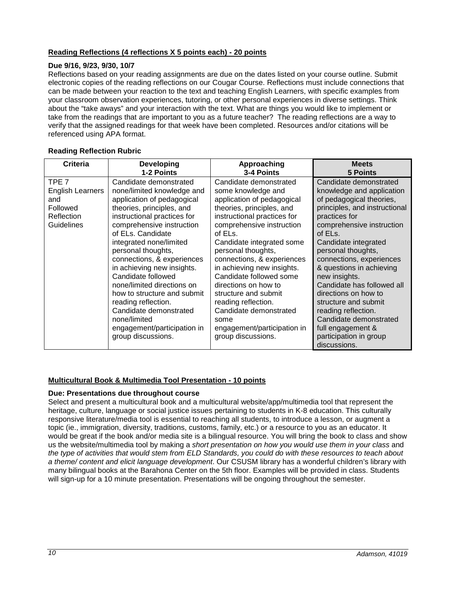# <span id="page-9-0"></span>**Reading Reflections (4 reflections X 5 points each) - 20 points**

#### **Due 9/16, 9/23, 9/30, 10/7**

Reflections based on your reading assignments are due on the dates listed on your course outline. Submit electronic copies of the reading reflections on our Cougar Course. Reflections must include connections that can be made between your reaction to the text and teaching English Learners, with specific examples from your classroom observation experiences, tutoring, or other personal experiences in diverse settings. Think about the "take aways" and your interaction with the text. What are things you would like to implement or take from the readings that are important to you as a future teacher? The reading reflections are a way to verify that the assigned readings for that week have been completed. Resources and/or citations will be referenced using APA format.

| Criteria                                                                                   | Developing                                                                                                                                                                                                                                                                                                                                                                                                                                                                                                             | Approaching                                                                                                                                                                                                                                                                                                                                                                                                                                                                            | <b>Meets</b>                                                                                                                                                                                                                                                                                                                                                                                                                                                                                   |
|--------------------------------------------------------------------------------------------|------------------------------------------------------------------------------------------------------------------------------------------------------------------------------------------------------------------------------------------------------------------------------------------------------------------------------------------------------------------------------------------------------------------------------------------------------------------------------------------------------------------------|----------------------------------------------------------------------------------------------------------------------------------------------------------------------------------------------------------------------------------------------------------------------------------------------------------------------------------------------------------------------------------------------------------------------------------------------------------------------------------------|------------------------------------------------------------------------------------------------------------------------------------------------------------------------------------------------------------------------------------------------------------------------------------------------------------------------------------------------------------------------------------------------------------------------------------------------------------------------------------------------|
|                                                                                            | 1-2 Points                                                                                                                                                                                                                                                                                                                                                                                                                                                                                                             | 3-4 Points                                                                                                                                                                                                                                                                                                                                                                                                                                                                             | <b>5 Points</b>                                                                                                                                                                                                                                                                                                                                                                                                                                                                                |
| TPE <sub>7</sub><br><b>English Learners</b><br>and<br>Followed<br>Reflection<br>Guidelines | Candidate demonstrated<br>none/limited knowledge and<br>application of pedagogical<br>theories, principles, and<br>instructional practices for<br>comprehensive instruction<br>of ELs. Candidate<br>integrated none/limited<br>personal thoughts,<br>connections, & experiences<br>in achieving new insights.<br>Candidate followed<br>none/limited directions on<br>how to structure and submit<br>reading reflection.<br>Candidate demonstrated<br>none/limited<br>engagement/participation in<br>group discussions. | Candidate demonstrated<br>some knowledge and<br>application of pedagogical<br>theories, principles, and<br>instructional practices for<br>comprehensive instruction<br>of ELs.<br>Candidate integrated some<br>personal thoughts,<br>connections, & experiences<br>in achieving new insights.<br>Candidate followed some<br>directions on how to<br>structure and submit<br>reading reflection.<br>Candidate demonstrated<br>some<br>engagement/participation in<br>group discussions. | Candidate demonstrated<br>knowledge and application<br>of pedagogical theories,<br>principles, and instructional<br>practices for<br>comprehensive instruction<br>of ELs.<br>Candidate integrated<br>personal thoughts,<br>connections, experiences<br>& questions in achieving<br>new insights.<br>Candidate has followed all<br>directions on how to<br>structure and submit<br>reading reflection.<br>Candidate demonstrated<br>full engagement &<br>participation in group<br>discussions. |

#### **Reading Reflection Rubric**

#### <span id="page-9-1"></span>**Multicultural Book & Multimedia Tool Presentation - 10 points**

#### **Due: Presentations due throughout course**

Select and present a multicultural book and a multicultural website/app/multimedia tool that represent the heritage, culture, language or social justice issues pertaining to students in K-8 education. This culturally responsive literature/media tool is essential to reaching all students, to introduce a lesson, or augment a topic (ie., immigration, diversity, traditions, customs, family, etc.) or a resource to you as an educator. It would be great if the book and/or media site is a bilingual resource. You will bring the book to class and show us the website/multimedia tool by making a *short presentation on how you would use them in your class* and *the type of activities that would stem from ELD Standards, you could do with these resources to teach about a theme/ content and elicit language development*. Our CSUSM library has a wonderful children's library with many bilingual books at the Barahona Center on the 5th floor. Examples will be provided in class. Students will sign-up for a 10 minute presentation. Presentations will be ongoing throughout the semester.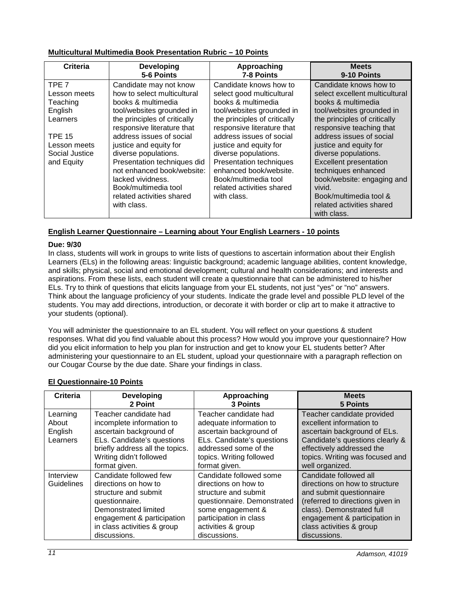# <span id="page-10-0"></span>**Multicultural Multimedia Book Presentation Rubric – 10 Points**

| Criteria         | <b>Developing</b><br>5-6 Points | Approaching<br>7-8 Points    | <b>Meets</b><br>9-10 Points    |
|------------------|---------------------------------|------------------------------|--------------------------------|
| TPE <sub>7</sub> | Candidate may not know          | Candidate knows how to       | Candidate knows how to         |
| Lesson meets     | how to select multicultural     | select good multicultural    | select excellent multicultural |
| Teaching         | books & multimedia              | books & multimedia           | books & multimedia             |
| English          | tool/websites grounded in       | tool/websites grounded in    | tool/websites grounded in      |
| Learners         | the principles of critically    | the principles of critically | the principles of critically   |
|                  | responsive literature that      | responsive literature that   | responsive teaching that       |
| <b>TPE 15</b>    | address issues of social        | address issues of social     | address issues of social       |
| Lesson meets     | justice and equity for          | justice and equity for       | justice and equity for         |
| Social Justice   | diverse populations.            | diverse populations.         | diverse populations.           |
| and Equity       | Presentation techniques did     | Presentation techniques      | <b>Excellent presentation</b>  |
|                  | not enhanced book/website:      | enhanced book/website.       | techniques enhanced            |
|                  | lacked vividness.               | Book/multimedia tool         | book/website: engaging and     |
|                  | Book/multimedia tool            | related activities shared    | vivid.                         |
|                  | related activities shared       | with class.                  | Book/multimedia tool &         |
|                  | with class.                     |                              | related activities shared      |
|                  |                                 |                              | with class.                    |

# <span id="page-10-1"></span>**English Learner Questionnaire – Learning about Your English Learners - 10 points**

#### **Due: 9/30**

In class, students will work in groups to write lists of questions to ascertain information about their English Learners (ELs) in the following areas: linguistic background; academic language abilities, content knowledge, and skills; physical, social and emotional development; cultural and health considerations; and interests and aspirations. From these lists, each student will create a questionnaire that can be administered to his/her ELs. Try to think of questions that elicits language from your EL students, not just "yes" or "no" answers. Think about the language proficiency of your students. Indicate the grade level and possible PLD level of the students. You may add directions, introduction, or decorate it with border or clip art to make it attractive to your students (optional).

You will administer the questionnaire to an EL student. You will reflect on your questions & student responses. What did you find valuable about this process? How would you improve your questionnaire? How did you elicit information to help you plan for instruction and get to know your EL students better? After administering your questionnaire to an EL student, upload your questionnaire with a paragraph reflection on our Cougar Course by the due date. Share your findings in class.

# <span id="page-10-2"></span>**El Questionnaire-10 Points**

| Criteria                                 | <b>Developing</b><br>2 Point                                                                                                                                                                  | Approaching<br><b>3 Points</b>                                                                                                                                                              | <b>Meets</b><br>5 Points                                                                                                                                                                                                           |
|------------------------------------------|-----------------------------------------------------------------------------------------------------------------------------------------------------------------------------------------------|---------------------------------------------------------------------------------------------------------------------------------------------------------------------------------------------|------------------------------------------------------------------------------------------------------------------------------------------------------------------------------------------------------------------------------------|
| Learning<br>About<br>English<br>Learners | Teacher candidate had<br>incomplete information to<br>ascertain background of<br>ELs. Candidate's questions<br>briefly address all the topics.<br>Writing didn't followed<br>format given.    | Teacher candidate had<br>adequate information to<br>ascertain background of<br>ELs. Candidate's questions<br>addressed some of the<br>topics. Writing followed<br>format given.             | Teacher candidate provided<br>excellent information to<br>ascertain background of ELs.<br>Candidate's questions clearly &<br>effectively addressed the<br>topics. Writing was focused and<br>well organized.                       |
| Interview<br>Guidelines                  | Candidate followed few<br>directions on how to<br>structure and submit<br>questionnaire.<br>Demonstrated limited<br>engagement & participation<br>in class activities & group<br>discussions. | Candidate followed some<br>directions on how to<br>structure and submit<br>questionnaire. Demonstrated<br>some engagement &<br>participation in class<br>activities & group<br>discussions. | Candidate followed all<br>directions on how to structure<br>and submit questionnaire<br>(referred to directions given in<br>class). Demonstrated full<br>engagement & participation in<br>class activities & group<br>discussions. |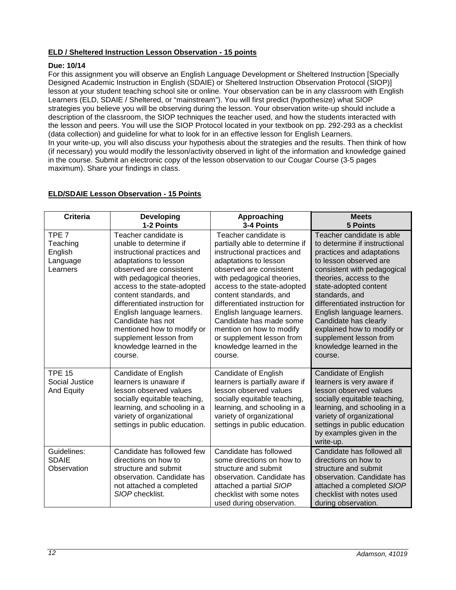# <span id="page-11-0"></span>**ELD / Sheltered Instruction Lesson Observation - 15 points**

#### **Due: 10/14**

For this assignment you will observe an English Language Development or Sheltered Instruction [Specially Designed Academic Instruction in English (SDAIE) or Sheltered Instruction Observation Protocol (SIOP)] lesson at your student teaching school site or online. Your observation can be in any classroom with English Learners (ELD, SDAIE / Sheltered, or "mainstream"). You will first predict (hypothesize) what SIOP strategies you believe you will be observing during the lesson. Your observation write-up should include a description of the classroom, the SIOP techniques the teacher used, and how the students interacted with the lesson and peers. You will use the SIOP Protocol located in your textbook on pp. 292-293 as a checklist (data collection) and guideline for what to look for in an effective lesson for English Learners. In your write-up, you will also discuss your hypothesis about the strategies and the results. Then think of how (if necessary) you would modify the lesson/activity observed in light of the information and knowledge gained in the course. Submit an electronic copy of the lesson observation to our Cougar Course (3-5 pages maximum). Share your findings in class.

# <span id="page-11-1"></span>**ELD/SDAIE Lesson Observation - 15 Points**

| Criteria                                                        | <b>Developing</b><br>1-2 Points                                                                                                                                                                                                                                                                                                                                                                              | Approaching<br>3-4 Points                                                                                                                                                                                                                                                                                                                                                                                                   | <b>Meets</b><br><b>5 Points</b>                                                                                                                                                                                                                                                                                                                                                                                |
|-----------------------------------------------------------------|--------------------------------------------------------------------------------------------------------------------------------------------------------------------------------------------------------------------------------------------------------------------------------------------------------------------------------------------------------------------------------------------------------------|-----------------------------------------------------------------------------------------------------------------------------------------------------------------------------------------------------------------------------------------------------------------------------------------------------------------------------------------------------------------------------------------------------------------------------|----------------------------------------------------------------------------------------------------------------------------------------------------------------------------------------------------------------------------------------------------------------------------------------------------------------------------------------------------------------------------------------------------------------|
| TPE <sub>7</sub><br>Teaching<br>English<br>Language<br>Learners | Teacher candidate is<br>unable to determine if<br>instructional practices and<br>adaptations to lesson<br>observed are consistent<br>with pedagogical theories,<br>access to the state-adopted<br>content standards, and<br>differentiated instruction for<br>English language learners.<br>Candidate has not<br>mentioned how to modify or<br>supplement lesson from<br>knowledge learned in the<br>course. | Teacher candidate is<br>partially able to determine if<br>instructional practices and<br>adaptations to lesson<br>observed are consistent<br>with pedagogical theories,<br>access to the state-adopted<br>content standards, and<br>differentiated instruction for<br>English language learners.<br>Candidate has made some<br>mention on how to modify<br>or supplement lesson from<br>knowledge learned in the<br>course. | Teacher candidate is able<br>to determine if instructional<br>practices and adaptations<br>to lesson observed are<br>consistent with pedagogical<br>theories, access to the<br>state-adopted content<br>standards, and<br>differentiated instruction for<br>English language learners.<br>Candidate has clearly<br>explained how to modify or<br>supplement lesson from<br>knowledge learned in the<br>course. |
| <b>TPE 15</b><br>Social Justice<br>And Equity                   | Candidate of English<br>learners is unaware if<br>lesson observed values<br>socially equitable teaching,<br>learning, and schooling in a<br>variety of organizational<br>settings in public education.                                                                                                                                                                                                       | Candidate of English<br>learners is partially aware if<br>lesson observed values<br>socially equitable teaching,<br>learning, and schooling in a<br>variety of organizational<br>settings in public education.                                                                                                                                                                                                              | Candidate of English<br>learners is very aware if<br>lesson observed values<br>socially equitable teaching,<br>learning, and schooling in a<br>variety of organizational<br>settings in public education<br>by examples given in the<br>write-up.                                                                                                                                                              |
| Guidelines:<br><b>SDAIE</b><br>Observation                      | Candidate has followed few<br>directions on how to<br>structure and submit<br>observation. Candidate has<br>not attached a completed<br>SIOP checklist.                                                                                                                                                                                                                                                      | Candidate has followed<br>some directions on how to<br>structure and submit<br>observation. Candidate has<br>attached a partial SIOP<br>checklist with some notes<br>used during observation.                                                                                                                                                                                                                               | Candidate has followed all<br>directions on how to<br>structure and submit<br>observation. Candidate has<br>attached a completed SIOP<br>checklist with notes used<br>during observation.                                                                                                                                                                                                                      |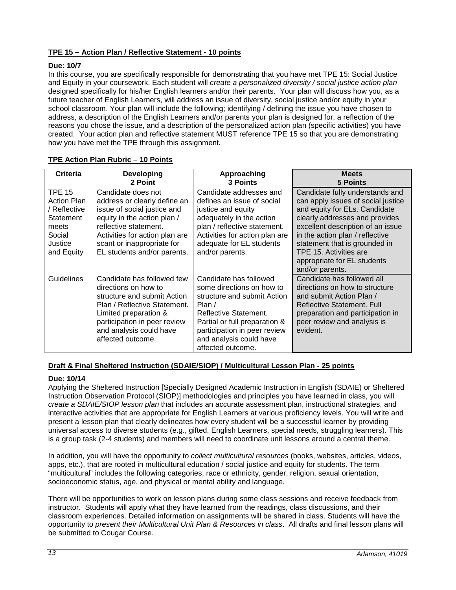# <span id="page-12-0"></span>**TPE 15 – Action Plan / Reflective Statement - 10 points**

# **Due: 10/7**

In this course, you are specifically responsible for demonstrating that you have met TPE 15: Social Justice and Equity in your coursework. Each student will *create a personalized diversity / social justice action plan*  designed specifically for his/her English learners and/or their parents. Your plan will discuss how you, as a future teacher of English Learners, will address an issue of diversity, social justice and/or equity in your school classroom. Your plan will include the following; identifying / defining the issue you have chosen to address, a description of the English Learners and/or parents your plan is designed for, a reflection of the reasons you chose the issue, and a description of the personalized action plan (specific activities) you have created. Your action plan and reflective statement MUST reference TPE 15 so that you are demonstrating how you have met the TPE through this assignment.

| Criteria                                                                                                     | <b>Developing</b><br>2 Point                                                                                                                                                                                                             | Approaching<br>3 Points                                                                                                                                                                                                                | <b>Meets</b><br>5 Points                                                                                                                                                                                                                                                                                                      |
|--------------------------------------------------------------------------------------------------------------|------------------------------------------------------------------------------------------------------------------------------------------------------------------------------------------------------------------------------------------|----------------------------------------------------------------------------------------------------------------------------------------------------------------------------------------------------------------------------------------|-------------------------------------------------------------------------------------------------------------------------------------------------------------------------------------------------------------------------------------------------------------------------------------------------------------------------------|
| <b>TPE 15</b><br><b>Action Plan</b><br>/ Reflective<br>Statement<br>meets<br>Social<br>Justice<br>and Equity | Candidate does not<br>address or clearly define an<br>issue of social justice and<br>equity in the action plan /<br>reflective statement.<br>Activities for action plan are<br>scant or inappropriate for<br>EL students and/or parents. | Candidate addresses and<br>defines an issue of social<br>justice and equity<br>adequately in the action<br>plan / reflective statement.<br>Activities for action plan are<br>adequate for EL students<br>and/or parents.               | Candidate fully understands and<br>can apply issues of social justice<br>and equity for ELs. Candidate<br>clearly addresses and provides<br>excellent description of an issue<br>in the action plan / reflective<br>statement that is grounded in<br>TPE 15. Activities are<br>appropriate for EL students<br>and/or parents. |
| <b>Guidelines</b>                                                                                            | Candidate has followed few<br>directions on how to<br>structure and submit Action<br>Plan / Reflective Statement.<br>Limited preparation &<br>participation in peer review<br>and analysis could have<br>affected outcome.               | Candidate has followed<br>some directions on how to<br>structure and submit Action<br>Plan /<br>Reflective Statement.<br>Partial or full preparation &<br>participation in peer review<br>and analysis could have<br>affected outcome. | Candidate has followed all<br>directions on how to structure<br>and submit Action Plan /<br>Reflective Statement, Full<br>preparation and participation in<br>peer review and analysis is<br>evident.                                                                                                                         |

# <span id="page-12-1"></span>**TPE Action Plan Rubric – 10 Points**

# <span id="page-12-2"></span>**Draft & Final Sheltered Instruction (SDAIE/SIOP) / Multicultural Lesson Plan - 25 points**

#### **Due: 10/14**

Applying the Sheltered Instruction [Specially Designed Academic Instruction in English (SDAIE) or Sheltered Instruction Observation Protocol (SIOP)] methodologies and principles you have learned in class, you will *create a SDAIE/SIOP lesson plan* that includes an accurate assessment plan, instructional strategies, and interactive activities that are appropriate for English Learners at various proficiency levels. You will write and present a lesson plan that clearly delineates how every student will be a successful learner by providing universal access to diverse students (e.g., gifted, English Learners, special needs, struggling learners). This is a group task (2-4 students) and members will need to coordinate unit lessons around a central theme.

In addition, you will have the opportunity to *collect multicultural resources* (books, websites, articles, videos, apps, etc.), that are rooted in multicultural education / social justice and equity for students. The term "multicultural" includes the following categories; race or ethnicity, gender, religion, sexual orientation, socioeconomic status, age, and physical or mental ability and language.

There will be opportunities to work on lesson plans during some class sessions and receive feedback from instructor. Students will apply what they have learned from the readings, class discussions, and their classroom experiences. Detailed information on assignments will be shared in class. Students will have the opportunity to *present their Multicultural Unit Plan & Resources in class*. All drafts and final lesson plans will be submitted to Cougar Course.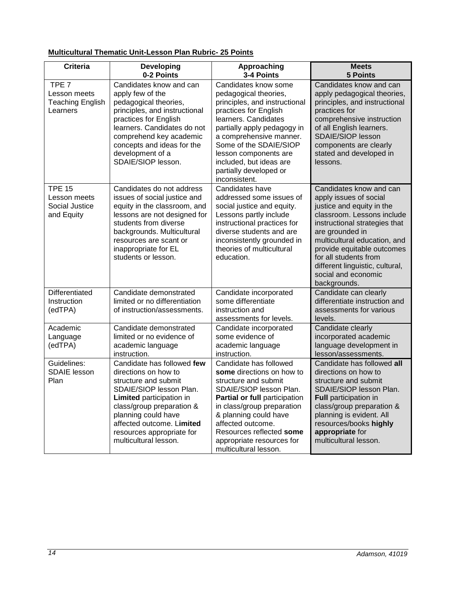# <span id="page-13-0"></span>**Multicultural Thematic Unit-Lesson Plan Rubric- 25 Points**

| <b>Criteria</b>                                                         | <b>Developing</b><br>0-2 Points                                                                                                                                                                                                                                          | Approaching<br>3-4 Points                                                                                                                                                                                                                                                                                          | <b>Meets</b><br><b>5 Points</b>                                                                                                                                                                                                                                                                                                   |
|-------------------------------------------------------------------------|--------------------------------------------------------------------------------------------------------------------------------------------------------------------------------------------------------------------------------------------------------------------------|--------------------------------------------------------------------------------------------------------------------------------------------------------------------------------------------------------------------------------------------------------------------------------------------------------------------|-----------------------------------------------------------------------------------------------------------------------------------------------------------------------------------------------------------------------------------------------------------------------------------------------------------------------------------|
| TPE <sub>7</sub><br>Lesson meets<br><b>Teaching English</b><br>Learners | Candidates know and can<br>apply few of the<br>pedagogical theories,<br>principles, and instructional<br>practices for English<br>learners. Candidates do not<br>comprehend key academic<br>concepts and ideas for the<br>development of a<br>SDAIE/SIOP lesson.         | Candidates know some<br>pedagogical theories,<br>principles, and instructional<br>practices for English<br>learners. Candidates<br>partially apply pedagogy in<br>a comprehensive manner.<br>Some of the SDAIE/SIOP<br>lesson components are<br>included, but ideas are<br>partially developed or<br>inconsistent. | Candidates know and can<br>apply pedagogical theories,<br>principles, and instructional<br>practices for<br>comprehensive instruction<br>of all English learners.<br>SDAIE/SIOP lesson<br>components are clearly<br>stated and developed in<br>lessons.                                                                           |
| <b>TPE 15</b><br>Lesson meets<br>Social Justice<br>and Equity           | Candidates do not address<br>issues of social justice and<br>equity in the classroom, and<br>lessons are not designed for<br>students from diverse<br>backgrounds. Multicultural<br>resources are scant or<br>inappropriate for EL<br>students or lesson.                | Candidates have<br>addressed some issues of<br>social justice and equity.<br>Lessons partly include<br>instructional practices for<br>diverse students and are<br>inconsistently grounded in<br>theories of multicultural<br>education.                                                                            | Candidates know and can<br>apply issues of social<br>justice and equity in the<br>classroom. Lessons include<br>instructional strategies that<br>are grounded in<br>multicultural education, and<br>provide equitable outcomes<br>for all students from<br>different linguistic, cultural,<br>social and economic<br>backgrounds. |
| Differentiated<br>Instruction<br>(edTPA)                                | Candidate demonstrated<br>limited or no differentiation<br>of instruction/assessments.                                                                                                                                                                                   | Candidate incorporated<br>some differentiate<br>instruction and<br>assessments for levels.                                                                                                                                                                                                                         | Candidate can clearly<br>differentiate instruction and<br>assessments for various<br>levels.                                                                                                                                                                                                                                      |
| Academic<br>Language<br>(edTPA)                                         | Candidate demonstrated<br>limited or no evidence of<br>academic language<br>instruction.                                                                                                                                                                                 | Candidate incorporated<br>some evidence of<br>academic language<br>instruction.                                                                                                                                                                                                                                    | Candidate clearly<br>incorporated academic<br>language development in<br>lesson/assessments.                                                                                                                                                                                                                                      |
| Guidelines:<br><b>SDAIE</b> lesson<br>Plan                              | Candidate has followed few<br>directions on how to<br>structure and submit<br>SDAIE/SIOP lesson Plan.<br>Limited participation in<br>class/group preparation &<br>planning could have<br>affected outcome. Limited<br>resources appropriate for<br>multicultural lesson. | Candidate has followed<br>some directions on how to<br>structure and submit<br>SDAIE/SIOP lesson Plan.<br>Partial or full participation<br>in class/group preparation<br>& planning could have<br>affected outcome.<br>Resources reflected some<br>appropriate resources for<br>multicultural lesson.              | Candidate has followed all<br>directions on how to<br>structure and submit<br>SDAIE/SIOP lesson Plan.<br>Full participation in<br>class/group preparation &<br>planning is evident. All<br>resources/books highly<br>appropriate for<br>multicultural lesson.                                                                     |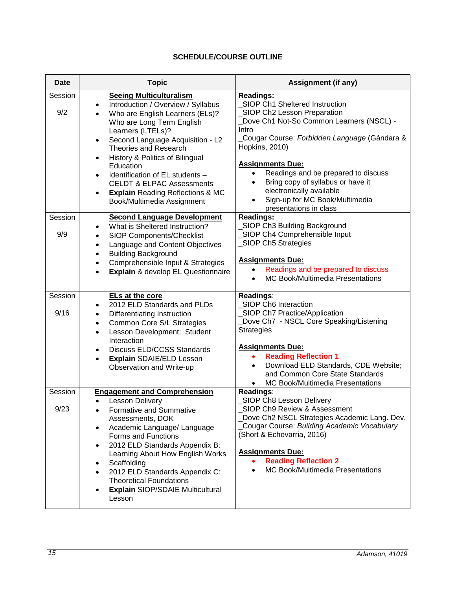# **SCHEDULE/COURSE OUTLINE**

<span id="page-14-0"></span>

| <b>Date</b>     | <b>Topic</b>                                                                                                                                                                                                                                                                                                                                                                                                                                                                              | <b>Assignment (if any)</b>                                                                                                                                                                                                                                                                                                                                                                                                         |  |
|-----------------|-------------------------------------------------------------------------------------------------------------------------------------------------------------------------------------------------------------------------------------------------------------------------------------------------------------------------------------------------------------------------------------------------------------------------------------------------------------------------------------------|------------------------------------------------------------------------------------------------------------------------------------------------------------------------------------------------------------------------------------------------------------------------------------------------------------------------------------------------------------------------------------------------------------------------------------|--|
| Session<br>9/2  | <b>Seeing Multiculturalism</b><br>Introduction / Overview / Syllabus<br>Who are English Learners (ELs)?<br>Who are Long Term English<br>Learners (LTELs)?<br>Second Language Acquisition - L2<br>$\bullet$<br><b>Theories and Research</b><br>History & Politics of Bilingual<br>$\bullet$<br>Education<br>Identification of EL students -<br>$\bullet$<br><b>CELDT &amp; ELPAC Assessments</b><br><b>Explain Reading Reflections &amp; MC</b><br>$\bullet$<br>Book/Multimedia Assignment | <b>Readings:</b><br>SIOP Ch1 Sheltered Instruction<br>_SIOP Ch2 Lesson Preparation<br>Dove Ch1 Not-So Common Learners (NSCL) -<br>Intro<br>Cougar Course: Forbidden Language (Gándara &<br>Hopkins, 2010)<br><b>Assignments Due:</b><br>Readings and be prepared to discuss<br>$\bullet$<br>Bring copy of syllabus or have it<br>$\bullet$<br>electronically available<br>Sign-up for MC Book/Multimedia<br>presentations in class |  |
| Session<br>9/9  | <b>Second Language Development</b><br>What is Sheltered Instruction?<br>SIOP Components/Checklist<br>Language and Content Objectives<br>$\bullet$<br><b>Building Background</b><br>$\bullet$<br>Comprehensible Input & Strategies<br>$\bullet$<br>Explain & develop EL Questionnaire<br>$\bullet$                                                                                                                                                                                         | <b>Readings:</b><br>SIOP Ch3 Building Background<br>SIOP Ch4 Comprehensible Input<br>_SIOP Ch5 Strategies<br><b>Assignments Due:</b><br>Readings and be prepared to discuss<br>$\bullet$<br><b>MC Book/Multimedia Presentations</b><br>$\bullet$                                                                                                                                                                                   |  |
| Session<br>9/16 | ELs at the core<br>2012 ELD Standards and PLDs<br>Differentiating Instruction<br>Common Core S/L Strategies<br>$\bullet$<br>Lesson Development: Student<br>$\bullet$<br>Interaction<br>Discuss ELD/CCSS Standards<br>Explain SDAIE/ELD Lesson<br>$\bullet$<br>Observation and Write-up                                                                                                                                                                                                    | Readings:<br>SIOP Ch6 Interaction<br>_SIOP Ch7 Practice/Application<br>Dove Ch7 - NSCL Core Speaking/Listening<br><b>Strategies</b><br><b>Assignments Due:</b><br><b>Reading Reflection 1</b><br>$\bullet$<br>Download ELD Standards, CDE Website;<br>and Common Core State Standards<br>MC Book/Multimedia Presentations<br>$\bullet$                                                                                             |  |
| Session<br>9/23 | <b>Engagement and Comprehension</b><br>Lesson Delivery<br>Formative and Summative<br>Assessments, DOK<br>Academic Language/ Language<br>Forms and Functions<br>2012 ELD Standards Appendix B:<br>Learning About How English Works<br>Scaffolding<br>2012 ELD Standards Appendix C:<br>$\bullet$<br><b>Theoretical Foundations</b><br><b>Explain SIOP/SDAIE Multicultural</b><br>Lesson                                                                                                    | Readings:<br>SIOP Ch8 Lesson Delivery<br>SIOP Ch9 Review & Assessment<br>Dove Ch2 NSCL Strategies Academic Lang. Dev.<br>Cougar Course: Building Academic Vocabulary<br>(Short & Echevarria, 2016)<br><b>Assignments Due:</b><br><b>Reading Reflection 2</b><br>$\bullet$<br>MC Book/Multimedia Presentations<br>$\bullet$                                                                                                         |  |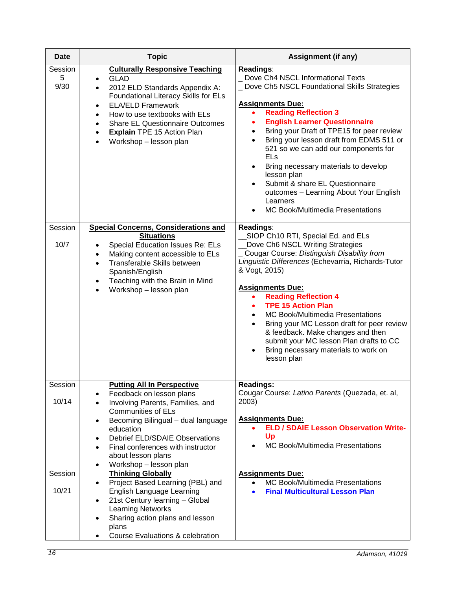| Date                 | <b>Topic</b>                                                                                                                                                                                                                                                                                                                                             | Assignment (if any)                                                                                                                                                                                                                                                                                                                                                                                                                                                                                                                                                                           |
|----------------------|----------------------------------------------------------------------------------------------------------------------------------------------------------------------------------------------------------------------------------------------------------------------------------------------------------------------------------------------------------|-----------------------------------------------------------------------------------------------------------------------------------------------------------------------------------------------------------------------------------------------------------------------------------------------------------------------------------------------------------------------------------------------------------------------------------------------------------------------------------------------------------------------------------------------------------------------------------------------|
| Session<br>5<br>9/30 | <b>Culturally Responsive Teaching</b><br><b>GLAD</b><br>2012 ELD Standards Appendix A:<br>Foundational Literacy Skills for ELs<br><b>ELA/ELD Framework</b><br>$\bullet$<br>How to use textbooks with ELs<br>$\bullet$<br><b>Share EL Questionnaire Outcomes</b><br>$\bullet$<br><b>Explain TPE 15 Action Plan</b><br>$\bullet$<br>Workshop - lesson plan | Readings:<br>Dove Ch4 NSCL Informational Texts<br>Dove Ch5 NSCL Foundational Skills Strategies<br><b>Assignments Due:</b><br><b>Reading Reflection 3</b><br>$\bullet$<br><b>English Learner Questionnaire</b><br>$\bullet$<br>Bring your Draft of TPE15 for peer review<br>$\bullet$<br>Bring your lesson draft from EDMS 511 or<br>$\bullet$<br>521 so we can add our components for<br>ELs<br>Bring necessary materials to develop<br>lesson plan<br>Submit & share EL Questionnaire<br>$\bullet$<br>outcomes - Learning About Your English<br>Learners<br>MC Book/Multimedia Presentations |
| Session<br>10/7      | <b>Special Concerns, Considerations and</b><br><b>Situations</b><br>Special Education Issues Re: ELs<br>Making content accessible to ELs<br>$\bullet$<br>Transferable Skills between<br>$\bullet$<br>Spanish/English<br>Teaching with the Brain in Mind<br>$\bullet$<br>Workshop - lesson plan                                                           | Readings:<br>SIOP Ch10 RTI, Special Ed. and ELs<br>Dove Ch6 NSCL Writing Strategies<br>Cougar Course: Distinguish Disability from<br>Linguistic Differences (Echevarria, Richards-Tutor<br>& Vogt, 2015)<br><b>Assignments Due:</b><br><b>Reading Reflection 4</b><br>$\bullet$<br><b>TPE 15 Action Plan</b><br>$\bullet$<br>MC Book/Multimedia Presentations<br>$\bullet$<br>Bring your MC Lesson draft for peer review<br>$\bullet$<br>& feedback. Make changes and then<br>submit your MC lesson Plan drafts to CC<br>Bring necessary materials to work on<br>$\bullet$<br>lesson plan     |
| Session<br>10/14     | <b>Putting All In Perspective</b><br>Feedback on lesson plans<br>Involving Parents, Families, and<br>$\bullet$<br><b>Communities of ELs</b><br>Becoming Bilingual - dual language<br>$\bullet$<br>education                                                                                                                                              | <b>Readings:</b><br>Cougar Course: Latino Parents (Quezada, et. al,<br>2003)<br><b>Assignments Due:</b><br><b>ELD / SDAIE Lesson Observation Write-</b><br>$\bullet$                                                                                                                                                                                                                                                                                                                                                                                                                          |
|                      | <b>Debrief ELD/SDAIE Observations</b><br>Final conferences with instructor<br>$\bullet$<br>about lesson plans<br>Workshop - lesson plan<br>$\bullet$                                                                                                                                                                                                     | Up<br><b>MC Book/Multimedia Presentations</b>                                                                                                                                                                                                                                                                                                                                                                                                                                                                                                                                                 |
| Session<br>10/21     | <b>Thinking Globally</b><br>Project Based Learning (PBL) and<br>$\bullet$<br>English Language Learning<br>21st Century learning - Global<br>$\bullet$<br><b>Learning Networks</b><br>Sharing action plans and lesson<br>$\bullet$<br>plans<br>Course Evaluations & celebration                                                                           | <b>Assignments Due:</b><br><b>MC Book/Multimedia Presentations</b><br>$\bullet$<br><b>Final Multicultural Lesson Plan</b><br>$\bullet$                                                                                                                                                                                                                                                                                                                                                                                                                                                        |